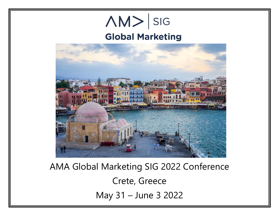

AMA Global Marketing SIG 2022 Conference Crete, Greece May 31 – June 3 2022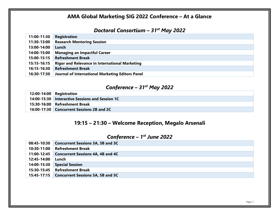## **AMA Global Marketing SIG 2022 Conference – At a Glance**

### *Doctoral Consortium – 31st May 2022*

| 11:00-11:30 | Registration                                          |
|-------------|-------------------------------------------------------|
| 11:30-13:00 | <b>Research Mentoring Session</b>                     |
| 13:00-14:00 | Lunch                                                 |
| 14:00-15:00 | <b>Managing an Impactful Career</b>                   |
| 15:00-15:15 | <b>Refreshment Break</b>                              |
| 15:15-16:15 | <b>Rigor and Relevance in International Marketing</b> |
| 16:15-16:30 | <b>Refreshment Break</b>                              |
| 16:30-17:30 | Journal of International Marketing Editors Panel      |

### *Conference – 31st May 2022*

| $12:00-14:00$ Registration                      |
|-------------------------------------------------|
| 14:00-15:30 Interactive Sessions and Session 1C |
| 15:30-16:00 Refreshment Break                   |
| 16:00-17:30 Concurrent Sessions 2B and 2C       |

# **19:15 – 21:30 – Welcome Reception, Megalo Arsenali**

## *Conference – 1st June 2022*

|             | 08:45-10:30 Concurrent Sessions 3A, 3B and 3C |
|-------------|-----------------------------------------------|
| 10:30-11:00 | <b>Refreshment Break</b>                      |
|             | 11:00-12:45 Concurrent Sessions 4A, 4B and 4C |
| 12:45-14:00 | Lunch                                         |
| 14:00-15:30 | <b>Special Session</b>                        |
|             | 15:30-15:45 Refreshment Break                 |
|             | 15:45-17:15 Concurrent Sessions 5A, 5B and 5C |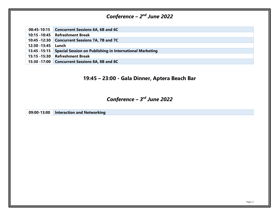# *Conference – 2nd June 2022*

|  | 08:45-10:15 Concurrent Sessions 6A, 6B and 6C |
|--|-----------------------------------------------|
|--|-----------------------------------------------|

**10:15 -10:45 Refreshment Break**

**10:45 -12:30 Concurrent Sessions 7A, 7B and 7C**

**12:30 -13:45 Lunch** 

**13:45 -15:15 Special Session on Publishing in International Marketing**

- **15:15 -15:30 Refreshment Break**
- **15:30 -17:00 Concurrent Sessions 8A, 8B and 8C**

### **19:45 – 23:00 - Gala Dinner, Aptera Beach Bar**

### *Conference – 3rd June 2022*

**09:00-13:00 Interaction and Networking**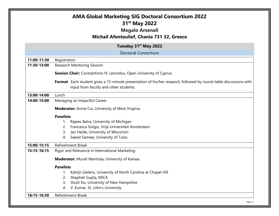|             | 31 <sup>st</sup> May 2022<br><b>Megalo Arsenali</b><br>Michail Afentoulief, Chania 731 32, Greece                                                           |
|-------------|-------------------------------------------------------------------------------------------------------------------------------------------------------------|
|             | Tuesday 31 <sup>st</sup> May 2022                                                                                                                           |
|             | <b>Doctoral Consortium</b>                                                                                                                                  |
| 11:00-11:30 | Registration                                                                                                                                                |
| 11:30-13:00 | <b>Research Mentoring Session</b>                                                                                                                           |
|             | <b>Session Chair:</b> Constantinos N. Leonidou, Open University of Cyprus                                                                                   |
|             | Format: Each student gives a 15-minute presentation of his/her research, followed by round-table discussions with<br>input from faculty and other students. |
| 13:00-14:00 | Lunch                                                                                                                                                       |
| 14:00-15:00 | Managing an Impactful Career                                                                                                                                |
|             | <b>Moderator:</b> Annie Cui, University of West Virginia                                                                                                    |
|             | <b>Panelists</b>                                                                                                                                            |
|             | Rajeev Batra, University of Michigan<br>1.                                                                                                                  |
|             | 2. Francesca Sotgiu, Vrije Universiteit Amsterdam                                                                                                           |
|             | Jan Heide, University of Wisconsin<br>3.                                                                                                                    |
|             | Saeed Samiee, University of Tulsa<br>4.                                                                                                                     |
| 15:00-15:15 | <b>Refreshment Break</b>                                                                                                                                    |
| 15:15-16:15 | Rigor and Relevance in International Marketing                                                                                                              |
|             | <b>Moderator:</b> Murali Mantrala, University of Kansas                                                                                                     |
|             | <b>Panelists</b>                                                                                                                                            |
|             | Katrijn Gielens, University of North Carolina at Chapel Hill                                                                                                |
|             | Shaphali Gupta, MICA<br>2.                                                                                                                                  |
|             | Shuili Du, University of New Hampshire<br>3.                                                                                                                |
|             | V. Kumar, St. John's University<br>4.                                                                                                                       |
|             |                                                                                                                                                             |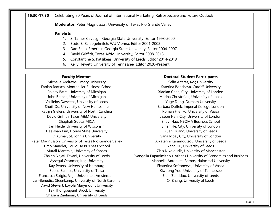**16:30-17:30** Celebrating 30 Years of Journal of International Marketing: Retrospective and Future Outlook

**Moderator:** Peter Magnusson, University of Texas Rio Grande Valley

#### **Panelists**

- 1. S. Tamer Cavusgil, Georgia State University, Editor 1993-2000
- 2. Bodo B. Schlegelmilch, WU Vienna, Editor 2001-2003
- 3. Dan Bello, Emeritus Georgia State University, Editor 2004-2007
- 4. David Griffith, Texas A&M University, Editor 2008-2013
- 5. Constantine S. Katsikeas, University of Leeds, Editor 2014-2019
- 6. Kelly Hewett, University of Tennessee, Editor 2020-Present

| <b>Faculty Mentors</b>                                 | <b>Doctoral Student Participants</b>                                 |
|--------------------------------------------------------|----------------------------------------------------------------------|
| Michelle Andrews, Emory University                     | Selin Altaras, Koç University                                        |
| Fabian Bartsch, Montpellier Business School            | Katerina Boncheva, Cardiff University                                |
| Rajeev Batra, University of Michigan                   | Xiaolan Chen, City, University of London                             |
| John Branch, University of Michigan                    | Marina Christofide, University of Leeds                              |
| Vasileios Davvetas, University of Leeds                | Yuge Dong, Durham University                                         |
| Shuili Du, University of New Hampshire                 | Barbara Duffek, Imperial College London                              |
| Katrijn Gielens, University of North Carolina          | Roman Filenko, University of Vaasa                                   |
| David Griffith, Texas A&M University                   | Jiseon Han, City, University of London                               |
| Shaphali Gupta, MICA                                   | Shuyi Hao, NEOMA Business School                                     |
| Jan Heide, University of Wisconsin                     | Sinan He, City, University of London                                 |
| Daekwan Kim, Florida State University                  | Xuan Huang, University of Leeds                                      |
| V. Kumar, St. John's University                        | Sana Iqbal, City, University of London                               |
| Peter Magnusson, University of Texas Rio Grande Valley | Aikaterini Karamoutsou, University of Leeds                          |
| Timo Mandler, Toulouse Business School                 | Yang Liu, University of Leeds                                        |
| Murali Mantrala, University of Kansas                  | Zisis Nikoloudis, University of Manchester                           |
| Zhaleh Najafi-Tavani, University of Leeds              | Evangelia Papadimitriou, Athens University of Economics and Business |
| Aysegul Ozsomer, Koç University                        | Manoella Antonieta Ramos, Halmstad University                        |
| Kay Peters, University of Hamburg                      | Ekaterina Sofroneeva, University of Vaasa                            |
| Saeed Samiee, University of Tulsa                      | Kiwoong Yoo, University of Tennessee                                 |
| Francesca Sotgiu, Vrije Universiteit Amsterdam         | Eleni Zantidou, University of Leeds                                  |
| Jan-Benedict Steenkamp, University of North Carolina   | Qi Zhang, University of Leeds                                        |
| David Stewart, Loyola Marymount University             |                                                                      |
| Tek Thongpapanl, Brock University                      |                                                                      |
| Ghasem Zaefarian, University of Leeds                  |                                                                      |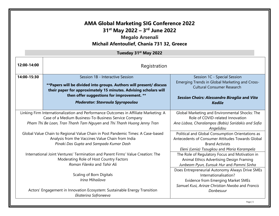# **AMA Global Marketing SIG Conference 2022 31st May 2022 – 3rd June 2022**

## **Megalo Arsenali Michail Afentoulief, Chania 731 32, Greece**

#### **Tuesday 31st May 2022**

| 12:00-14:00                                                                                                                                                                     | Registration                                                                                                                                                                                                                                                          |                                                                                                                                                                                      |  |
|---------------------------------------------------------------------------------------------------------------------------------------------------------------------------------|-----------------------------------------------------------------------------------------------------------------------------------------------------------------------------------------------------------------------------------------------------------------------|--------------------------------------------------------------------------------------------------------------------------------------------------------------------------------------|--|
| 14:00-15:30                                                                                                                                                                     | Session 1B - Interactive Session<br>** Papers will be divided into groups. Authors will present/ discuss<br>their paper for approximately 15 minutes. Advising scholars will<br>then offer suggestions for improvement. **<br><b>Moderator: Stavroula Spyropoulou</b> | Session 1C - Special Session<br>Emerging Trends in Global Marketing and Cross-<br><b>Cultural Consumer Research</b><br>Session Chairs: Alessandro Biraglia and Vita<br><b>Kadile</b> |  |
| Linking Firm Internationalization and Performance Outcomes in Affiliate Marketing: A                                                                                            |                                                                                                                                                                                                                                                                       | Global Marketing and Environmental Shocks: The<br>Role of COVID-related Innovation                                                                                                   |  |
| Case of a Medium Business-To-Business Service Company<br>Pham Thi Be Loan, Tran Thanh Tam Nguyen and Thi Thanh Huong Jenny Tran                                                 |                                                                                                                                                                                                                                                                       | Ana Lisboa, Charalampos (Babis) Saridakis and Sofia<br>Angelidou                                                                                                                     |  |
| Global Value Chain to Regional Value Chain in Post Pandemic Times: A Case-based<br>Analysis from the Vaccines Value Chain from India<br>Pinaki Das Gupta and Sampada Kumar Dash |                                                                                                                                                                                                                                                                       | Political and Global Consumption Orientations as<br>Antecedents of Consumer Attitudes Towards Global<br><b>Brand Activists</b>                                                       |  |
| International Joint Ventures' Termination and Parent Firms' Value Creation: The<br>Moderating Role of Host Country Factors<br>Roman Filenko and Tahir Ali                       |                                                                                                                                                                                                                                                                       | Eleni (Lenia) Tsougkou and Maria Karampela<br>The Role of Regulatory Focus and Motivation in<br>Animal Ethics Advertising Design Framing<br>Junbeom Pyun, Eunsuk Hur and Pammi Sinha |  |
| Scaling of Born Digitals<br>Irina Mihailova                                                                                                                                     |                                                                                                                                                                                                                                                                       | Does Entrepreneurial Autonomy Always Drive SMEs<br>Internationalisation?<br><b>Evidence from Emerging Market SMEs</b><br>Samuel Kusi, Arinze Christian Nwoba and Francis             |  |
| Actors' Engagement in Innovation Ecosystem: Sustainable Energy Transition<br>Ekaterina Sofroneeva                                                                               |                                                                                                                                                                                                                                                                       | Donbesuur                                                                                                                                                                            |  |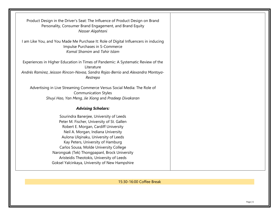| Product Design in the Driver's Seat: The Influence of Product Design on Brand<br>Personality, Consumer Brand Engagement, and Brand Equity<br>Nasser Algahtani                                                                                                                                                                                                                                                                              |  |
|--------------------------------------------------------------------------------------------------------------------------------------------------------------------------------------------------------------------------------------------------------------------------------------------------------------------------------------------------------------------------------------------------------------------------------------------|--|
| I am Like You, and You Made Me Purchase It: Role of Digital Influencers in inducing<br>Impulse Purchases in S-Commerce<br>Komal Shamim and Tahir Islam                                                                                                                                                                                                                                                                                     |  |
| Experiences in Higher Education in Times of Pandemic: A Systematic Review of the<br>Literature<br>Andrés Ramírez, Jeisson Rincon-Novoa, Sandra Rojas-Berrio and Alexandra Montoya-<br>Restrepo                                                                                                                                                                                                                                             |  |
| Advertising in Live Streaming Commerce Versus Social Media: The Role of<br><b>Communication Styles</b><br>Shuyi Hao, Yan Meng, Jie Xiong and Pradeep Divakaran                                                                                                                                                                                                                                                                             |  |
| <b>Advising Scholars:</b>                                                                                                                                                                                                                                                                                                                                                                                                                  |  |
| Sourindra Banerjee, University of Leeds<br>Peter M. Fischer, University of St. Gallen<br>Robert E. Morgan, Cardiff University<br>Neil A. Morgan, Indiana University<br>Aulona Ulqinaku, University of Leeds<br>Kay Peters, University of Hamburg<br>Carlos Sousa, Molde University College<br>Narongsak (Tek) Thongpapanl, Brock University<br>Aristeidis Theotokis, University of Leeds<br>Goksel Yalcinkaya, University of New Hampshire |  |

15:30-16:00 Coffee Break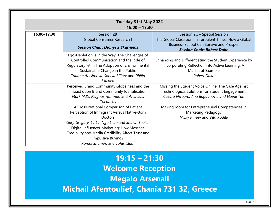|             | Tuesday 31st May 2022<br>$16:00 - 17:30$           |                                                                                     |  |
|-------------|----------------------------------------------------|-------------------------------------------------------------------------------------|--|
| 16:00-17:30 | Session 2B                                         | Session 2C - Special Session                                                        |  |
|             | <b>Global Consumer Research I</b>                  | The Global Classroom in Turbulent Times: How a Global                               |  |
|             | <b>Session Chair: Dionysis Skarmeas</b>            | <b>Business School Can Survive and Prosper</b><br><b>Session Chair: Robert Duke</b> |  |
|             | Ego-Depletion is in the Way: The Challenges of     |                                                                                     |  |
|             | Controlled Communication and the Role of           | Enhancing and Differentiating the Student Experience by                             |  |
|             | Regulatory Fit in The Adoption of Environmental    | Incorporating Reflection into Active Learning: A                                    |  |
|             | Sustainable Change in the Public                   | Markstrat Example                                                                   |  |
|             | Tatiana Anisimova, Soniya Billore and Philip       | <b>Robert Duke</b>                                                                  |  |
|             | Kitchen                                            |                                                                                     |  |
|             | Perceived Brand Community Globalness and the       | Missing the Student Voice Online: The Case Against                                  |  |
|             | Impact upon Brand Community Identification         | Technological Solutions for Student Engagement                                      |  |
|             | Mark Mills, Magnus Hultman and Aristeidis          | Cezara Nicoara, Ana Bogdanovic and Elaine Tan                                       |  |
|             | <b>Theotokis</b>                                   |                                                                                     |  |
|             | A Cross-National Comparison of Patient             | Making room for Entrepreneurial Competencies in                                     |  |
|             | Perception of Immigrant Versus Native-Born         | Marketing Pedagogy                                                                  |  |
|             | <b>Doctors</b>                                     | Nicky Kinsey and Vita Kadile                                                        |  |
|             | Gary Gregory, Lu Lu, Ngo Liem and Shawn Thelen     |                                                                                     |  |
|             | Digital Influencer Marketing: How Message          |                                                                                     |  |
|             | Credibility and Media Credibility Affect Trust and |                                                                                     |  |
|             | Impulsive Buying?                                  |                                                                                     |  |
|             | Komal Shamim and Tahir Islam                       |                                                                                     |  |

**19:15 – 21:30 Welcome Reception Megalo Arsenali Michail Afentoulief, Chania 731 32, Greece**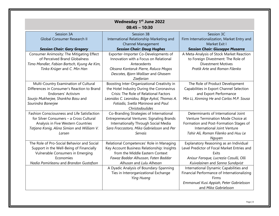| <b>Wednesday 1st June 2022</b><br>$08:45 - 10:30$ |                                                        |                                                                    |
|---------------------------------------------------|--------------------------------------------------------|--------------------------------------------------------------------|
| Session 3A<br><b>Global Consumer Research II</b>  | Session 3B<br>International Relationship Marketing and | Session 3C<br>Firm Internationalization, Market Entry and          |
|                                                   | <b>Channel Management</b>                              | Market Exit I                                                      |
| <b>Session Chair: Gary Gregory</b>                | <b>Session Chair: Doug Hughes</b>                      | <b>Session Chair: Giuseppe Musarra</b>                             |
| Consumer Animosity: The Mitigating Effect         | Exporter-Importer Co-Developments of                   | A Meta-Analysis of Stock Market Reaction                           |
| of Perceived Brand Globalness                     | Innovation with a Focus on Relational                  | to Foreign Divestment: The Role of                                 |
| Timo Mandler, Fabian Bartsch, Kyung Ae Kim,       | Antecedents                                            | <b>Divestment Motives</b>                                          |
| Tinka Krüger and C. Min Han                       | Oksana Kantaruk Pierre, Raluca Mogos                   | Pratik Arte and Roman Filenko                                      |
|                                                   | Descotes, Bjorn Walliser and Ghasem                    |                                                                    |
|                                                   | Zaefarian                                              |                                                                    |
| Multi-Country Examination of Cultural             | Boosting Inter-Organizational Creativity in            | The Role of Product Development                                    |
| Differences in Consumer's Reaction to Brand       | the Hotel Industry During the Coronavirus              | Capabilities in Export Channel Selection                           |
| Endorsers' Activism                               | Crisis: The Role of Relational Factors                 | and Export Performance                                             |
| Sourjo Mukherjee, Shankha Basu and                | Leonidas C. Leonidou, Bilge Aykol, Thomas A.           | Min Li, Xinming He and Carlos M.P. Sousa                           |
| Sourindra Banerjee                                | Fotiadis, Svetla Marinova and Paul                     |                                                                    |
|                                                   | Christodoulides                                        |                                                                    |
| Fashion Consciousness and Life Satisfaction       | Co-Branding Strategies of International                | Determinants of International Joint                                |
| for Silver Consumers - a Cross Cultural           | <b>Entrepreneurial Ventures: Signaling Brands</b>      | Venture Termination Mode Choice at                                 |
| Analysis in Five Western Countries                | Internationally Through Social Media                   | Formation and Post-Formation Stages of                             |
| Tatjana Konig, Alina Simion and William V.        | Sara Fraccastoro, Mika Gabrielsson and Per<br>Servais  | International Joint Venture<br>Tahir Ali, Roman Filenko and Huu Le |
| Larsen                                            |                                                        |                                                                    |
| The Role of Pro-Social Behavior and Social        | Relational Competences' Role in Managing               | Nguyen<br>Explanatory Reasoning as an Individual                   |
| Support in the Well-Being of Financially          | Key Account Business Relationship: Insights            | Level Predictor of Focal Market Entries and                        |
| Vulnerable Consumers in Emerging                  | from the Middle Eastern Context                        | Exits                                                              |
| Economies                                         | Fawaz Baddar Alhussan, Faten Baddar                    | Anisur Faroque, Lucrezia Casulli, Olli                             |
| Nadia Pomirleanu and Brandon Gustafson            | Alhusan and Lulu Alhesan                               | Kuivalainen and Sanna Sundqvist                                    |
|                                                   | A Dyadic Analysis of Boundary-Spanning                 | International Dynamic Capabilities and                             |
|                                                   | Ties in Interorganizational Exchange                   | Financial Performance of Internationalizing                        |
|                                                   | Ying Huang                                             | Firms                                                              |
|                                                   |                                                        | Emmanuel Kusi Appiah, Peter Gabrielsson                            |
|                                                   |                                                        | and Mika Gabrielsson                                               |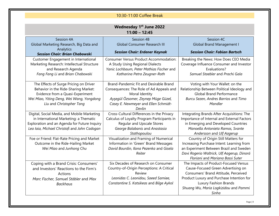### 10:30-11:00 Coffee Break

| <b>Wednesday 1st June 2022</b><br>$11:00 - 12:45$ |                                               |                                             |  |
|---------------------------------------------------|-----------------------------------------------|---------------------------------------------|--|
| Session 4A                                        | Session 4B                                    | Session 4C                                  |  |
| Global Marketing Research, Big Data and           | <b>Global Consumer Research III</b>           | <b>Global Brand Management I</b>            |  |
| Analytics                                         |                                               |                                             |  |
| <b>Session Chair: Brian Chabowski</b>             | <b>Session Chair: Erdener Kaynak</b>          | <b>Session Chair: Fabian Bartsch</b>        |  |
| Customer Engagement in International              | <b>Consumer Versus Product Accommodation:</b> | Breaking the News: How Does CEO Media       |  |
| Marketing Research: Intellectual Structure        | A Study Using Regional Dialects               | Coverage Influence Consumer and Investor    |  |
| and Research Agenda                               | Yanic Lochbaum, Peter Mathias Fischer and     | Evaluations?                                |  |
| Fang Fang Li and Brian Chabowski                  | Katharina Petra Zeugner-Roth                  | Samuel Staebler and Prachi Gala             |  |
|                                                   |                                               |                                             |  |
| The Effects of Surge Pricing on Driver            | Brand-Pandemic Fit and Desirable Brand        | Voting with Your Wallet: on the             |  |
| Behavior in the Ride-Sharing Market:              | Consequences: The Role of Ad Appeals and      | Relationship Between Political Ideology and |  |
| Evidence from a Quasi-Experiment                  | Moral Identity                                | <b>Global Brand Performance</b>             |  |
| Wei Miao, Yiting Deng, Wei Wang, Yongdong         | Ayşegül Özsomer, Zeynep Müge Güzel,           | Burcu Sezen, Andres Barrios and Timo        |  |
| Liu and Christopher Tang                          | Casey E. Newmeyer and Ellen Schmidt-          | Mandler                                     |  |
|                                                   | Devlin                                        |                                             |  |
| Digital, Social Media, and Mobile Marketing       | Cross-Cultural Differences in the Privacy     | Integrating Brands After Acquisitions: The  |  |
| in International Marketing: a Thematic            | Calculus of Loyalty Program Participants in   | Importance of Internal and External Factors |  |
| Exploration and an Agenda for Future Inquiry      | <b>Regular and Upscale Stores</b>             | in Emerging and Developed Countries         |  |
| Lea Iaia, Michael Christofi and John Cadogan      | George Balabanis and Anastasia                | Manoella Antonieta Ramos, Svante            |  |
|                                                   | Stathopoulou                                  | Andersson and Ulf Aagerup                   |  |
| Foe or Friend: Flat-Rate Pricing and Market       | Visualization and Framing of Numerical        | Country of Origin Still Matters for         |  |
| Outcome in the Ride-Hailing Market                | Information in 'Green' Brand Messages         | Increasing Purchase Intent: Learning from   |  |
| Wei Miao and Junhong Chu                          | David Bourdin, Ilona Pezenka and Gisela       | an Experiment Between Brazil and Sweden     |  |
|                                                   | Reiter                                        | Davi Rogerio Waltrick, Ulf Aagerup, Dinorá  |  |
|                                                   |                                               | Floriani and Mariana Bassi Suter            |  |
| Coping with a Brand Crisis: Consumers'            | Six Decades of Research on Consumer           | The Impacts of Product-Focused Versus       |  |
| and Investors' Reactions to the Firm's            | Country-of-Origin Perceptions: A Critical     | Cause-Focused Green Advertising on          |  |
| Actions                                           | Review                                        | Consumers' Brand Attitude, Perceived        |  |
| Marc Fischer, Samuel Stäbler and Max              | Leonidas C. Leonidou, Saeed Samiee,           | Product Luxury and Purchase Intention for   |  |
| <b>Backhaus</b>                                   | Constantine S. Katsikeas and Bilge Aykol      | Luxury Fashion Brands                       |  |
|                                                   |                                               | Shuang Wu, Maria Logkizidou and Pammi       |  |
|                                                   |                                               | Sinha                                       |  |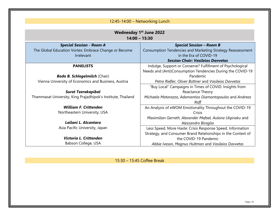| 12:45-14:00 - Networking Lunch                               |                                                              |  |  |
|--------------------------------------------------------------|--------------------------------------------------------------|--|--|
|                                                              |                                                              |  |  |
| <b>Wednesday 1st June 2022</b>                               |                                                              |  |  |
| $14:00 - 15:30$                                              |                                                              |  |  |
| <b>Special Session - Room A</b>                              | <b>Special Session - Room B</b>                              |  |  |
| The Global Education Vortex: Embrace Change or Become        | Consumption Tendencies and Marketing Strategy Reassessment   |  |  |
| Irrelevant                                                   | in the Era of COVID-19                                       |  |  |
|                                                              | <b>Session Chair: Vasileios Davvetas</b>                     |  |  |
| <b>PANELISTS</b>                                             | Indulge, Support or Conserve? Fulfillment of Psychological   |  |  |
|                                                              | Needs and (Anti)Consumption Tendencies During the COVID-19   |  |  |
| <b>Bodo B. Schlegelmilch (Chair)</b>                         | Pandemic                                                     |  |  |
| Vienna University of Economics and Business, Austria         | Petra Riefler, Oliver Büttner and Vasileios Davvetas         |  |  |
|                                                              | "Buy Local" Campaigns in Times of COVID: Insights from       |  |  |
| <b>Surat Teerakapibal</b>                                    | Reactance Theory                                             |  |  |
| Thammasat University, King Prajadhipok's Institute, Thailand | Michaela Matarazzo, Adamantios Diamantopoulos and Andreas    |  |  |
|                                                              | Raff                                                         |  |  |
| <b>William F. Crittenden</b>                                 | An Analysis of eWOM Emotionality Throughout the COVID-19     |  |  |
| Northeastern University, USA                                 | Crisis                                                       |  |  |
|                                                              | Maximilian Gerrath, Alexander Mafael, Aulona Ulginaku and    |  |  |
| Lailani L. Alcantara                                         | Alessandro Biraglia                                          |  |  |
| Asia Pacific University, Japan                               | Less Speed, More Haste: Crisis Response Speed, Information   |  |  |
|                                                              | Strategy, and Consumer Brand Relationships in the Context of |  |  |
| Victoria L. Crittenden                                       | the COVID-19 Pandemic                                        |  |  |
| Babson College, USA                                          | Abbie Iveson, Magnus Hultman and Vasileios Davvetas          |  |  |

#### 15:30 – 15:45 Coffee Break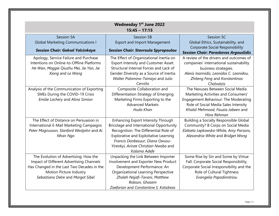| <b>Wednesday 1st June 2022</b><br>$15:45 - 17:15$ |                                             |                                               |
|---------------------------------------------------|---------------------------------------------|-----------------------------------------------|
| Session 5A                                        | Session 5B                                  | Session 5C                                    |
| <b>Global Marketing Communications I</b>          | <b>Export and Import Management</b>         | Global Ethics, Sustainability, and            |
| <b>Session Chair: Goksel Yalcinkaya</b>           | <b>Session Chair: Stavroula Spyropoulou</b> | <b>Corporate Social Responsibility</b>        |
|                                                   |                                             | <b>Session Chair: Paraskevas Argouslidis</b>  |
| Apology, Service Failure and Purchase             | The Effect of Organizational Inertia on     | A review of the drivers and outcomes of       |
| Intentions on Online-to-Offline Platforms         | Export Intensity and Customer Asset:        | companies' international sustainability       |
| He Wan, Maggie Qiuzhu Mei, Jie Yan, Jie           | Structural Internal Forces and Lack of      | business strategies.                          |
| Xiong and Le Wang                                 | Gender Diversity as a Source of Inertia     | Alexis Ioannidis, Leonidas C. Leonidou,       |
|                                                   | Walter Palomino-Tamayo and Julio            | Zhiteng Feng and Konstantinos                 |
|                                                   | Cerviño                                     | Chalvatzis                                    |
| Analysis of the Communication of Exporting        | Composite Collaboration and                 | The Nexuses Between Social Media              |
| SMEs During the COVID-19 Crisis                   | Differentiation Strategy of Emerging        | Marketing Activities and Consumers'           |
| Emilie Lachery and Alina Simion                   | Marketing Firms Exporting to the            | Engagement Behaviour: The Moderating          |
|                                                   | <b>Advanced Markets</b>                     | Role of Social Media Sales Intensity          |
|                                                   | Huda Khan                                   | Khalid Mehmood, Fauzia Jabeen and             |
|                                                   |                                             | Hina Rehman                                   |
| The Effect of Distance on Persuasion in           | Enhancing Export Intensity Through          | <b>Building a Socially Responsible Global</b> |
| International E-Mail Marketing Campaigns          | Bricolage and International Opportunity     | Community? B Corps on Social Media            |
| Peter Magnusson, Stanford Westjohn and Ai         | Recognition: The Differential Role of       | Elzbieta Lepkowska-White, Amy Parsons,        |
| Nhan Ngo                                          | Explorative and Exploitative Learning       | Alexandria White and Bridget Wong             |
|                                                   | Francis Donbesuur, Diana Owusu-             |                                               |
|                                                   | Yirenkyi, Arinze Christian Nwoba and        |                                               |
|                                                   | Kalama Adefe                                |                                               |
| The Evolution of Advertising: How the             | Unpacking the Link Between Importer         | Some Rise by Sin and Some by Virtue           |
| Impact of Different Advertising Channels          | Involvement and Exporter New Product        | Fall: Corporate Social Responsibility,        |
| Has Changed in the Last Two Decades in the        | Development Performance: An                 | Corporate Social Irresponsibility and the     |
| Motion Picture Industry                           | Organizational Learning Perspective         | Role of Cultural Tightness                    |
| Sebastiano Delre and Margot Sibel                 | Zhaleh Najafi-Tavani, Matthew               | Evangelia Papadimitriou                       |
|                                                   | Robson, Ghasem                              |                                               |
|                                                   | Zaefarian and Constantine S. Katsikeas      |                                               |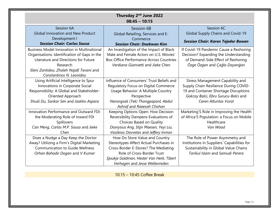| Thursday 2 <sup>nd</sup> June 2022<br>$08:45 - 10:15$ |                                                |                                             |  |
|-------------------------------------------------------|------------------------------------------------|---------------------------------------------|--|
| Session 6A                                            | Session 6B                                     | Session 6C                                  |  |
| <b>Global Innovation and New Product</b>              | Global Retailing, Services and E-              | Global Supply Chains and Covid-19           |  |
| Development I                                         | Commerce                                       | <b>Session Chair: Karen Tejedor Bowen</b>   |  |
| <b>Session Chair: Carlos Sousa</b>                    | <b>Session Chair: Daekwan Kim</b>              |                                             |  |
| <b>Business Model Innovation in Multinational</b>     | An Investigation of the Impact of Black        | If Covid-19 Pandemic Cause a Reshoring      |  |
| Organisations: Identification of Gaps in the          | Male and Female Actors on U.S. Movies'         | Decision? Expanding the Understanding       |  |
| Literature and Directions for Future                  | <b>Box-Office Performance Across Countries</b> | of Demand-Side Effect of Reshoring          |  |
| Research                                              | Verdiana Giannetti and Jieke Chen              | Özge Özgen and Çağla Dayanğan               |  |
| Eleni Zantidou, Zhaleh Najafi Tavani and              |                                                |                                             |  |
| Constantinos N. Leonidou                              |                                                |                                             |  |
| Using Artificial Intelligence to Spur                 | Influence of Consumers' Trust Beliefs and      | <b>Stress Management Capability and</b>     |  |
| Innovations in Corporate Social                       | Regulatory Focus on Digital Commerce           | Supply Chain Resilience During COVID-       |  |
| Responsibility: A Global and Stakeholder-             | Usage Behavior: A Multiple Country             | 19 and Container Shortage Disruptions       |  |
| Oriented Approach                                     | Perspective                                    | Gokcay Balci, Ebru Surucu-Balci and         |  |
| Shuili Du, Sankar Sen and Jaakko Aspara               | Narongsak (Tek) Thongpapanl, Abdul             | Ceren Altuntas Vural                        |  |
|                                                       | Ashraf and Raeesah Chohan                      |                                             |  |
| Innovation Performance and Outward FDI:               | Keeping Options Open: How Decision             | Marketing'S Role in Improving the Health    |  |
| the Moderating Role of Inward FDI                     | Reversibility Dampens Evaluations of           | of Africa'S Population: a Focus on Mobile   |  |
| Spillovers                                            | Choices Based on Quality                       | Healthcare                                  |  |
| Can Meng, Carlos M.P. Sousa and Jieke                 | Dionysius Ang, Stijn Maesen, Yeyi Liu,         | Van Wood                                    |  |
| Chen                                                  | Vasileios Davvetas and Jeffery Inman           |                                             |  |
| Does a Nudge a Day Keep the Doctor                    | How Do Store Value and Country                 | The Role of Power Asymmetry and             |  |
| Away? Utilizing a Firm's Digital Marketing            | Stereotypes Affect Actual Purchases in         | Institutions in Suppliers' Capabilities for |  |
| <b>Communication to Guide Wellness</b>                | Cross-Border E-Stores? The Mediating           | Sustainability in Global Value Chains       |  |
| Orhan Bahadir Dogan and V Kumar                       | Role of Cross-Border Trust                     | Tarikul Islam and Samudi Perera             |  |
|                                                       | Sjoukje Goldman, Hester Van Herk, Tibert       |                                             |  |
|                                                       | Verhagen and Jesse Weltevreden                 |                                             |  |

10:15 – 10:45 Coffee Break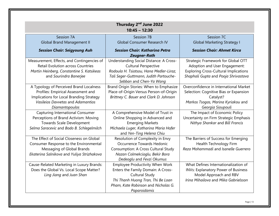| Thursday 2 <sup>nd</sup> June 2022<br>$10:45 - 12:30$                                                                                                                            |                                                                                                                                                                                                   |                                                                                                                                                             |  |
|----------------------------------------------------------------------------------------------------------------------------------------------------------------------------------|---------------------------------------------------------------------------------------------------------------------------------------------------------------------------------------------------|-------------------------------------------------------------------------------------------------------------------------------------------------------------|--|
| Session 7A<br><b>Global Brand Management II</b>                                                                                                                                  | Session 7B<br>Global Consumer Research IV                                                                                                                                                         | Session 7C<br><b>Global Marketing Strategy I</b>                                                                                                            |  |
| <b>Session Chair: Seigyoung Auh</b>                                                                                                                                              | <b>Session Chair: Katharina Petra</b><br><b>Zeugner-Roth</b>                                                                                                                                      | <b>Session Chair: Ahmet Kirca</b>                                                                                                                           |  |
| Measurement, Effects, and Contingencies of<br><b>Retail Evolution across Countries</b><br>Martin Heinberg, Constantine S. Katsikeas<br>and Sourindra Banerjee                    | Understanding Social Distance: A Cross-<br><b>Cultural Perspective</b><br>Rodoula H. Tsiotsou, Hana Medler-Liraz,<br>Tali Seger-Guttmann, Judith Partouche-<br>Sebban and Chen-Ya Wang            | Strategic Framework for Global OTT<br>Adoption and User Engagement:<br><b>Exploring Cross-Cultural Implications</b><br>Shaphali Gupta and Pooja Shrivastava |  |
| A Typology of Perceived Brand Localness<br>Profiles: Empirical Assessment and<br>Implications for Local Branding Strategy<br>Vasileios Davvetas and Adamantios<br>Diamantopoulos | Brand Origin Stories: When to Emphasize<br>Place-of-Origin Versus Person-of-Origin<br>Brittney C. Bauer and Clark D. Johnson                                                                      | Overconfidence in International Market<br>Selection: Cognitive Bias or Expansion<br>Catalyst?<br>Markos Tsogas, Marina Kyriakou and<br>Georgia Sioupouli    |  |
| Capturing International Consumer<br>Perceptions of Brand Activism: Moving<br><b>Towards Scale Development</b><br>Selma Saracevic and Bodo B. Schlegelmilch                       | A Comprehensive Model of Trust in<br>Online Shopping in Advanced and<br><b>Emerging Markets</b><br>Michaela Luger, Katharina Maria Hofer<br>and Yen-Ting Helena Chiu                              | The Impact of Economic Policy<br>Uncertainty on Firm Strategic Emphasis<br>Nithya Shankar and Bill Francis                                                  |  |
| The Effect of Social Closeness on Global<br>Consumer Response to the Environmental<br>Messaging of Global Brands<br>Ekaterina Salnikova and Yuliya Strizhakova                   | Resolution of Complexity in Envy<br>Occurrence Towards Hedonic<br><b>Consumption: A Cross Cultural Study</b><br>Nazan Colmekcioglu, Bekir Bora<br>Dedeoglu and Fevzi Okumus                       | The Barriers of Success for Emerging<br>Health Technology Firm<br>Reza Mohammadi and Isanelle Guerrero                                                      |  |
| Cause-Related Marketing in Luxury Brands:<br>Does the Global Vs. Local Scope Matter?<br>Ling Jiang and Juan Shan                                                                 | <b>Employee Productivity When Work</b><br>Enters the Family Domain: A Cross-<br><b>Cultural Study</b><br>Thi Thanh Huong Tran, Thi Be Loan<br>Pham, Kate Robinson and Nicholas G.<br>Paparoidamis | What Defines Internationalization of<br><b>INVs: Explanatory Power of Business</b><br>Model Approach and RBV<br>Irina Mihailova and Mika Gabrielsson        |  |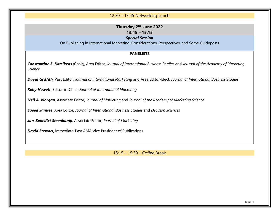#### 12:30 – 13:45 Networking Lunch

#### **Thursday 2nd June 2022 13:45 – 15:15**

#### *Special Session*

On Publishing in International Marketing: Considerations, Perspectives, and Some Guideposts

#### **PANELISTS**

*Constantine S. Katsikeas* (Chair), Area Editor, *Journal of International Business Studies* and *Journal of the Academy of Marketing Science*

*David Griffith,* Past Editor, *Journal of International Marketing* and Area Editor-Elect, *Journal of International Business Studies*

*Kelly Hewett*, Editor-in-Chief, *Journal of International Marketing*

*Neil A. Morgan*, Associate Editor, *Journal of Marketing* and *Journal of the Academy of Marketing Science*

*Saeed Samiee*, Area Editor*, Journal of International Business Studies* and *Decision Sciences*

*Jan-Benedict Steenkamp,* Associate Editor, *Journal of Marketing*

*David Stewart*, Immediate-Past AMA Vice President of Publications

15:15 – 15:30 – Coffee Break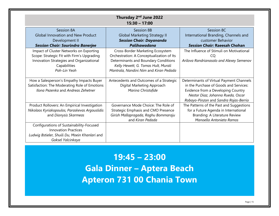| Thursday 2 <sup>nd</sup> June 2022<br>$15:30 - 17:00$                                                                                                             |                                                                                                                                                                                                        |                                                                                                                                                                                                        |  |  |
|-------------------------------------------------------------------------------------------------------------------------------------------------------------------|--------------------------------------------------------------------------------------------------------------------------------------------------------------------------------------------------------|--------------------------------------------------------------------------------------------------------------------------------------------------------------------------------------------------------|--|--|
| Session 8A<br><b>Global Innovation and New Product</b><br>Development II<br><b>Session Chair: Sourindra Banerjee</b>                                              | Session 8B<br><b>Global Marketing Strategy II</b><br><b>Session Chair: Dayananda</b><br>Palihawadana                                                                                                   | Session 8C<br>International Branding, Channels and<br>customer Behavior<br><b>Session Chair: Raeesah Chohan</b>                                                                                        |  |  |
| Impact of Cluster Networks on Exporting<br>Scope: Strategic Fit with Firm's Upgrading<br>Innovation Strategies and Organizational<br>Capabilities<br>Poh-Lin Yeoh | Cross-Border Marketing Ecosystem<br>Orchestration: A Conceptualization of Its<br>Determinants and Boundary Conditions<br>Kelly Hewett, G. Tomas Hult, Murali<br>Mantrala, Nandini Nim and Kiran Pedada | The Influence of Stimuli on Motivational<br>CQ<br>Arilova Randrianasolo and Alexey Semenov                                                                                                             |  |  |
| How a Salesperson's Empathy Impacts Buyer<br>Satisfaction: The Moderating Role of Emotions<br>Ilona Pezenka and Andreas Zehetner                                  | Antecedents and Outcomes of a Strategic<br>Digital Marketing Approach<br>Marina Christofide                                                                                                            | Determinants of Virtual Payment Channels<br>in the Purchase of Goods and Services:<br>Evidence from a Developing Country<br>Nestor Diaz, Johanna Rueda, Oscar<br>Robayo-Pinzon and Sandra Rojas-Berrio |  |  |
| Product Rollovers: An Empirical Investigation<br>Nikolaos Kyriakopoulos, Paraskevas Argouslidis<br>and Dionysis Skarmeas                                          | Governance Mode Choice: The Role of<br>Strategic Emphasis and CMO Presence<br>Girish Mallapragada, Raghu Bommaraju<br>and Kiran Pedada                                                                 | The Patterns of the Past and Suggestions<br>for a Future Agenda in International<br>Branding: A Literature Review<br>Manoella Antonieta Ramos                                                          |  |  |
| Configurations of Sustainability-Focused<br><b>Innovation Practices</b><br>Ludwig Bstieler, Shuili Du, Moein Khanlari and<br>Goksel Yalcinkaya                    |                                                                                                                                                                                                        |                                                                                                                                                                                                        |  |  |

**19:45 – 23:00 Gala Dinner – Aptera Beach Apteron 731 00 Chania Town**